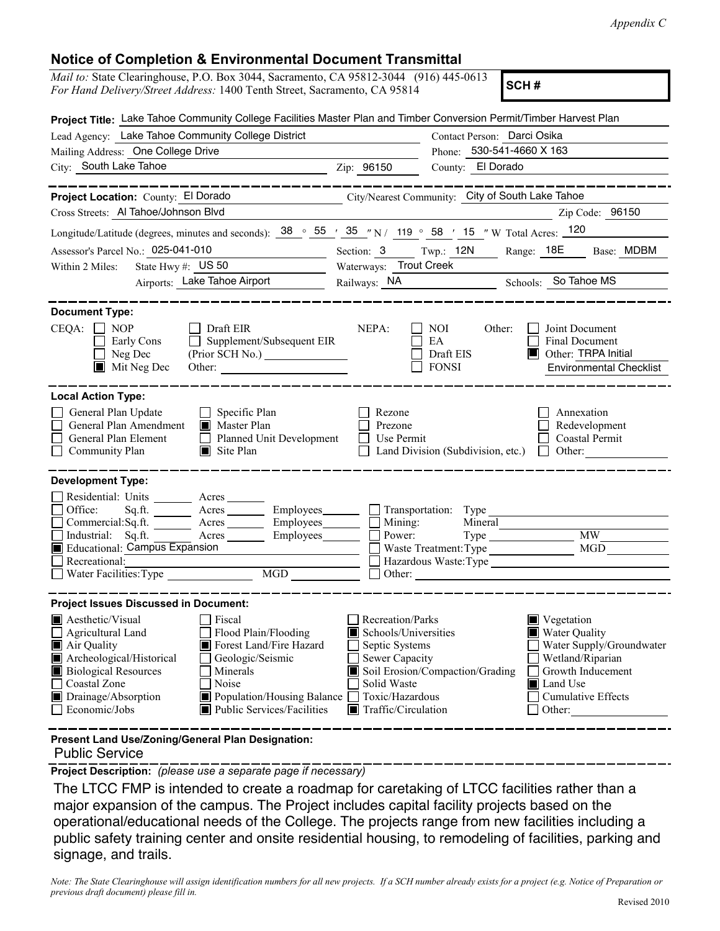## **Notice of Completion & Environmental Document Transmittal**

| <i>Mail to:</i> State Clearinghouse, P.O. Box 3044, Sacramento, CA 95812-3044 (916) 445-0613<br>SCH#<br>For Hand Delivery/Street Address: 1400 Tenth Street, Sacramento, CA 95814                                                                                                                                                                                                                                                                                                                                                                                                                                                                                                                                                             |  |  |  |  |  |  |
|-----------------------------------------------------------------------------------------------------------------------------------------------------------------------------------------------------------------------------------------------------------------------------------------------------------------------------------------------------------------------------------------------------------------------------------------------------------------------------------------------------------------------------------------------------------------------------------------------------------------------------------------------------------------------------------------------------------------------------------------------|--|--|--|--|--|--|
| Project Title: Lake Tahoe Community College Facilities Master Plan and Timber Conversion Permit/Timber Harvest Plan                                                                                                                                                                                                                                                                                                                                                                                                                                                                                                                                                                                                                           |  |  |  |  |  |  |
| Lead Agency: Lake Tahoe Community College District<br>Contact Person: Darci Osika                                                                                                                                                                                                                                                                                                                                                                                                                                                                                                                                                                                                                                                             |  |  |  |  |  |  |
| Phone: 530-541-4660 X 163<br>Mailing Address: One College Drive                                                                                                                                                                                                                                                                                                                                                                                                                                                                                                                                                                                                                                                                               |  |  |  |  |  |  |
| City: South Lake Tahoe<br>County: El Dorado<br>Zip: 96150<br><u> 1990 - John Stein, amerikansk politik</u>                                                                                                                                                                                                                                                                                                                                                                                                                                                                                                                                                                                                                                    |  |  |  |  |  |  |
| City/Nearest Community: City of South Lake Tahoe<br>Project Location: County: El Dorado                                                                                                                                                                                                                                                                                                                                                                                                                                                                                                                                                                                                                                                       |  |  |  |  |  |  |
| Cross Streets: Al Tahoe/Johnson Blvd<br>Zip Code: 96150                                                                                                                                                                                                                                                                                                                                                                                                                                                                                                                                                                                                                                                                                       |  |  |  |  |  |  |
| Longitude/Latitude (degrees, minutes and seconds): 38 ° 55 ' 35 " N / 119 ° 58 ' 15 " W Total Acres: 120                                                                                                                                                                                                                                                                                                                                                                                                                                                                                                                                                                                                                                      |  |  |  |  |  |  |
| Section: 3 Twp.: 12N Range: 18E Base: MDBM<br>Assessor's Parcel No.: 025-041-010                                                                                                                                                                                                                                                                                                                                                                                                                                                                                                                                                                                                                                                              |  |  |  |  |  |  |
| Waterways: Trout Creek<br>State Hwy #: US 50<br>Within 2 Miles:                                                                                                                                                                                                                                                                                                                                                                                                                                                                                                                                                                                                                                                                               |  |  |  |  |  |  |
| Airports: Lake Tahoe Airport<br>Railways: NA Schools: So Tahoe MS                                                                                                                                                                                                                                                                                                                                                                                                                                                                                                                                                                                                                                                                             |  |  |  |  |  |  |
|                                                                                                                                                                                                                                                                                                                                                                                                                                                                                                                                                                                                                                                                                                                                               |  |  |  |  |  |  |
| <b>Document Type:</b><br>$CEQA: \Box NOP$<br>NEPA:<br>$\Box$ Draft EIR<br>Joint Document<br>NOI<br>Other:<br>$\Box$ Supplement/Subsequent EIR<br>Final Document<br>Early Cons<br>EA<br>$\Box$ Neg Dec<br>Draft EIS<br>Other: TRPA Initial<br>$\blacksquare$ Mit Neg Dec<br>$\Box$ FONSI<br><b>Environmental Checklist</b>                                                                                                                                                                                                                                                                                                                                                                                                                     |  |  |  |  |  |  |
| <b>Local Action Type:</b><br>General Plan Update<br>$\Box$ Specific Plan<br>Rezone<br>Annexation<br>General Plan Amendment<br>Master Plan<br>Prezone<br>Redevelopment<br>Planned Unit Development<br>General Plan Element<br>Use Permit<br>Coastal Permit<br>Community Plan<br>$\Box$ Site Plan<br>Land Division (Subdivision, etc.)<br>Other:<br>$\Box$                                                                                                                                                                                                                                                                                                                                                                                      |  |  |  |  |  |  |
| <b>Development Type:</b>                                                                                                                                                                                                                                                                                                                                                                                                                                                                                                                                                                                                                                                                                                                      |  |  |  |  |  |  |
| Residential: Units ________ Acres _______<br>Acres Employees<br>Office:<br>Sq.ft.<br>Commercial:Sq.ft. Acres Employees<br>Mining:<br>Mineral<br><b>MW</b><br>Industrial: Sq.ft.<br>Power:<br>Acres Employees<br>Type<br>Educational: Campus Expansion<br>Waste Treatment: Type<br>Recreational:<br>Hazardous Waste: Type<br>MGD<br>Water Facilities: Type<br>Other:                                                                                                                                                                                                                                                                                                                                                                           |  |  |  |  |  |  |
| <b>Project Issues Discussed in Document:</b><br>Recreation/Parks<br><b>Aesthetic/Visual</b><br>Fiscal<br>Vegetation<br>Agricultural Land<br>Flood Plain/Flooding<br>Schools/Universities<br>■ Water Quality<br>Water Supply/Groundwater<br>Forest Land/Fire Hazard<br>$\blacksquare$ Air Quality<br>Septic Systems<br>Archeological/Historical<br>Geologic/Seismic<br>Sewer Capacity<br>Wetland/Riparian<br>Soil Erosion/Compaction/Grading<br><b>Biological Resources</b><br>Growth Inducement<br>Minerals<br>Coastal Zone<br>Noise<br>Solid Waste<br>Land Use<br>Toxic/Hazardous<br>Drainage/Absorption<br>Population/Housing Balance<br>Cumulative Effects<br>Public Services/Facilities<br>Economic/Jobs<br>Traffic/Circulation<br>Other: |  |  |  |  |  |  |

 Public Service **Present Land Use/Zoning/General Plan Designation:**

**Project Description:** *(please use a separate page if necessary)*

 The LTCC FMP is intended to create a roadmap for caretaking of LTCC facilities rather than a major expansion of the campus. The Project includes capital facility projects based on the operational/educational needs of the College. The projects range from new facilities including a public safety training center and onsite residential housing, to remodeling of facilities, parking and signage, and trails.

*Note: The State Clearinghouse will assign identification numbers for all new projects. If a SCH number already exists for a project (e.g. Notice of Preparation or previous draft document) please fill in.*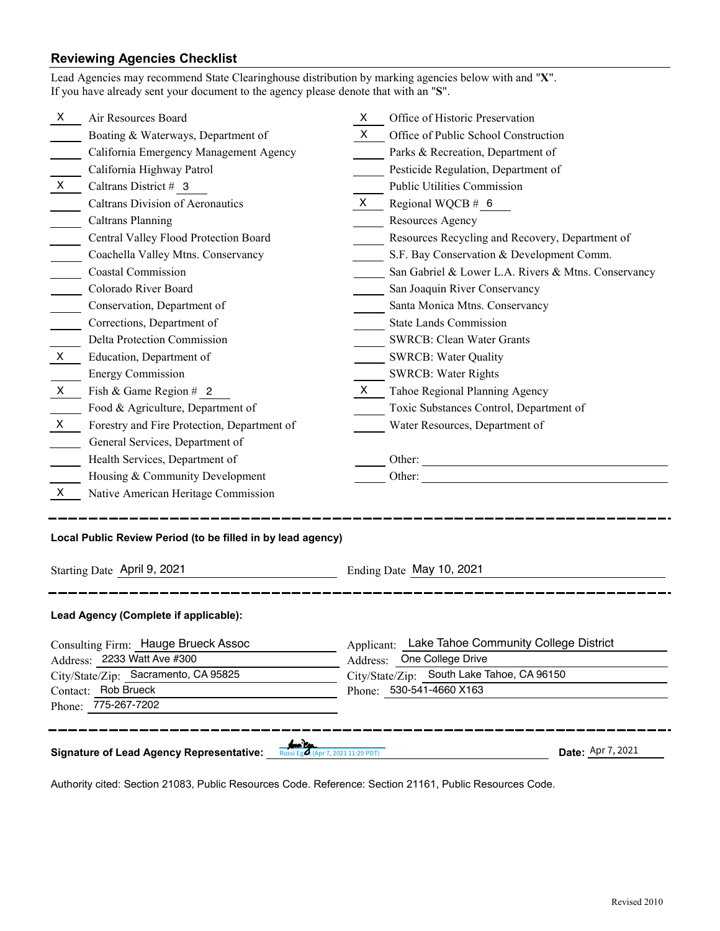## **Reviewing Agencies Checklist**

|                                                                                                                        | Lead Agencies may recommend State Clearinghouse distribution by marking agencies below with and "X".<br>If you have already sent your document to the agency please denote that with an "S". |     |                                                     |  |  |
|------------------------------------------------------------------------------------------------------------------------|----------------------------------------------------------------------------------------------------------------------------------------------------------------------------------------------|-----|-----------------------------------------------------|--|--|
| X                                                                                                                      | Air Resources Board                                                                                                                                                                          |     | X Office of Historic Preservation                   |  |  |
|                                                                                                                        | Boating & Waterways, Department of                                                                                                                                                           | X — | Office of Public School Construction                |  |  |
|                                                                                                                        | California Emergency Management Agency                                                                                                                                                       |     | Parks & Recreation, Department of                   |  |  |
|                                                                                                                        | California Highway Patrol                                                                                                                                                                    |     | Pesticide Regulation, Department of                 |  |  |
| $\mathsf{X}$                                                                                                           | Caltrans District # 3                                                                                                                                                                        |     | Public Utilities Commission                         |  |  |
|                                                                                                                        | <b>Caltrans Division of Aeronautics</b>                                                                                                                                                      |     | $X$ Regional WQCB # 6                               |  |  |
|                                                                                                                        | <b>Caltrans Planning</b>                                                                                                                                                                     |     | Resources Agency                                    |  |  |
|                                                                                                                        | Central Valley Flood Protection Board                                                                                                                                                        |     | Resources Recycling and Recovery, Department of     |  |  |
|                                                                                                                        | Coachella Valley Mtns. Conservancy                                                                                                                                                           |     | S.F. Bay Conservation & Development Comm.           |  |  |
|                                                                                                                        | <b>Coastal Commission</b>                                                                                                                                                                    |     | San Gabriel & Lower L.A. Rivers & Mtns. Conservancy |  |  |
|                                                                                                                        | Colorado River Board                                                                                                                                                                         |     | San Joaquin River Conservancy                       |  |  |
|                                                                                                                        | Conservation, Department of                                                                                                                                                                  |     | Santa Monica Mtns. Conservancy                      |  |  |
|                                                                                                                        | Corrections, Department of                                                                                                                                                                   |     | <b>State Lands Commission</b>                       |  |  |
|                                                                                                                        | Delta Protection Commission                                                                                                                                                                  |     | <b>SWRCB: Clean Water Grants</b>                    |  |  |
| $\mathsf{X}$                                                                                                           | Education, Department of                                                                                                                                                                     |     | <b>SWRCB: Water Quality</b>                         |  |  |
|                                                                                                                        | <b>Energy Commission</b>                                                                                                                                                                     |     | <b>SWRCB: Water Rights</b>                          |  |  |
| $\mathsf{X}$                                                                                                           | Fish & Game Region # $2$                                                                                                                                                                     | X — | Tahoe Regional Planning Agency                      |  |  |
|                                                                                                                        | Food & Agriculture, Department of                                                                                                                                                            |     | Toxic Substances Control, Department of             |  |  |
| X                                                                                                                      | Forestry and Fire Protection, Department of                                                                                                                                                  |     | Water Resources, Department of                      |  |  |
|                                                                                                                        | General Services, Department of                                                                                                                                                              |     |                                                     |  |  |
|                                                                                                                        | Health Services, Department of                                                                                                                                                               |     | Other:                                              |  |  |
|                                                                                                                        | Housing & Community Development                                                                                                                                                              |     |                                                     |  |  |
| X                                                                                                                      | Native American Heritage Commission                                                                                                                                                          |     |                                                     |  |  |
| Local Public Review Period (to be filled in by lead agency)<br>Starting Date April 9, 2021<br>Ending Date May 10, 2021 |                                                                                                                                                                                              |     |                                                     |  |  |
|                                                                                                                        | Lead Agency (Complete if applicable):                                                                                                                                                        |     |                                                     |  |  |
| Consulting Firm: Hauge Brueck Assoc                                                                                    |                                                                                                                                                                                              |     | Applicant: Lake Tahoe Community College District    |  |  |
| Address: 2233 Watt Ave #300                                                                                            |                                                                                                                                                                                              |     | Address: One College Drive                          |  |  |
| City/State/Zip: Sacramento, CA 95825                                                                                   |                                                                                                                                                                                              |     | City/State/Zip: South Lake Tahoe, CA 96150          |  |  |
| Contact: Rob Brueck<br>Phone: 775-267-7202                                                                             |                                                                                                                                                                                              |     | Phone: 530-541-4660 X163                            |  |  |
|                                                                                                                        |                                                                                                                                                                                              |     |                                                     |  |  |
| Date: Apr 7, 2021<br><b>Signature of Lead Agency Representative:</b><br>Russi Egen (Apr 7, 2021 11:29 PDT)             |                                                                                                                                                                                              |     |                                                     |  |  |

Authority cited: Section 21083, Public Resources Code. Reference: Section 21161, Public Resources Code.